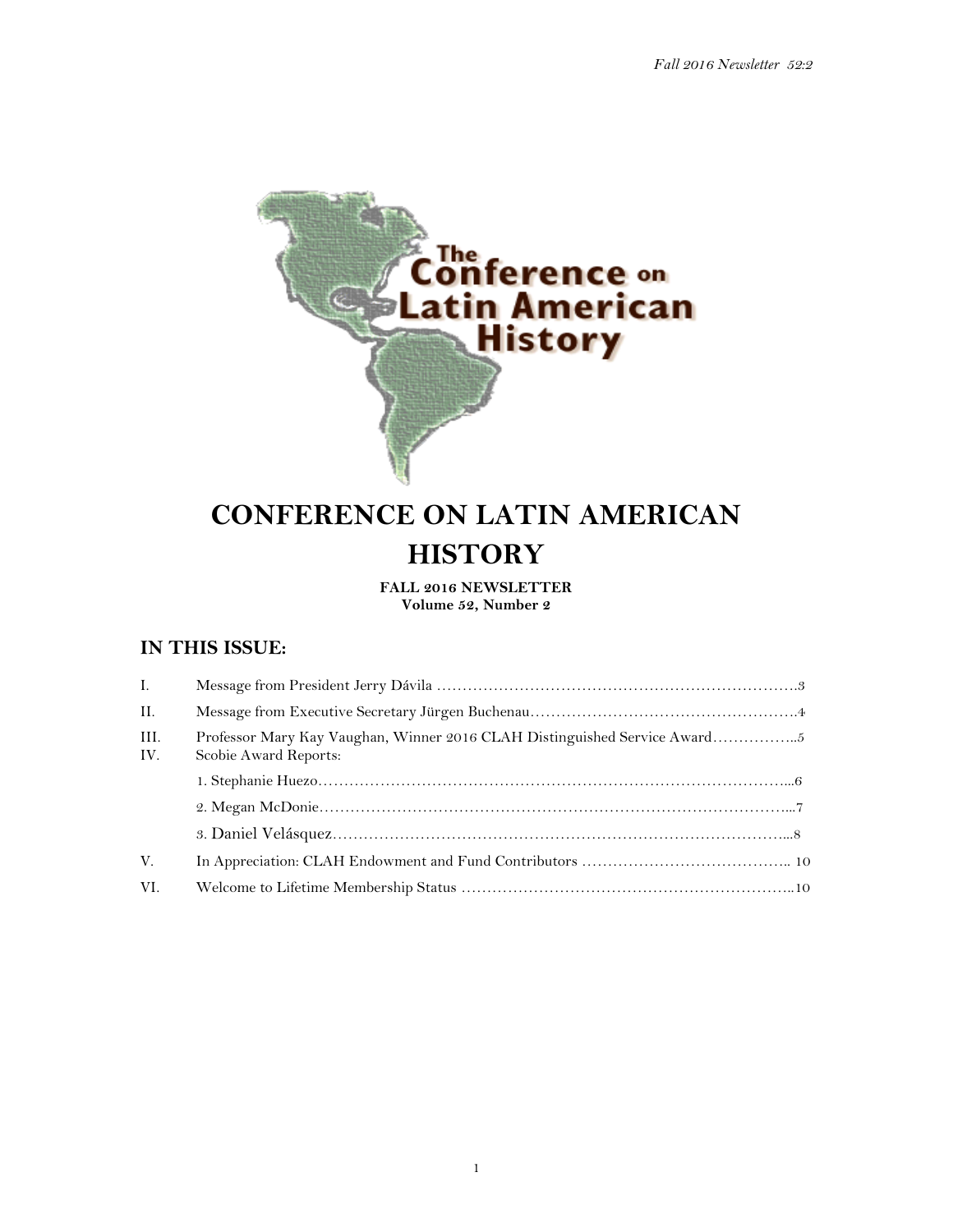

# **CONFERENCE ON LATIN AMERICAN HISTORY**

**FALL 2016 NEWSLETTER Volume 52, Number 2**

# **IN THIS ISSUE:**

| $\mathbf{L}$ |                                                                                                    |
|--------------|----------------------------------------------------------------------------------------------------|
| II.          |                                                                                                    |
| III.<br>IV.  | Professor Mary Kay Vaughan, Winner 2016 CLAH Distinguished Service Award5<br>Scobie Award Reports: |
|              |                                                                                                    |
|              |                                                                                                    |
|              |                                                                                                    |
| V.           |                                                                                                    |
| VI.          |                                                                                                    |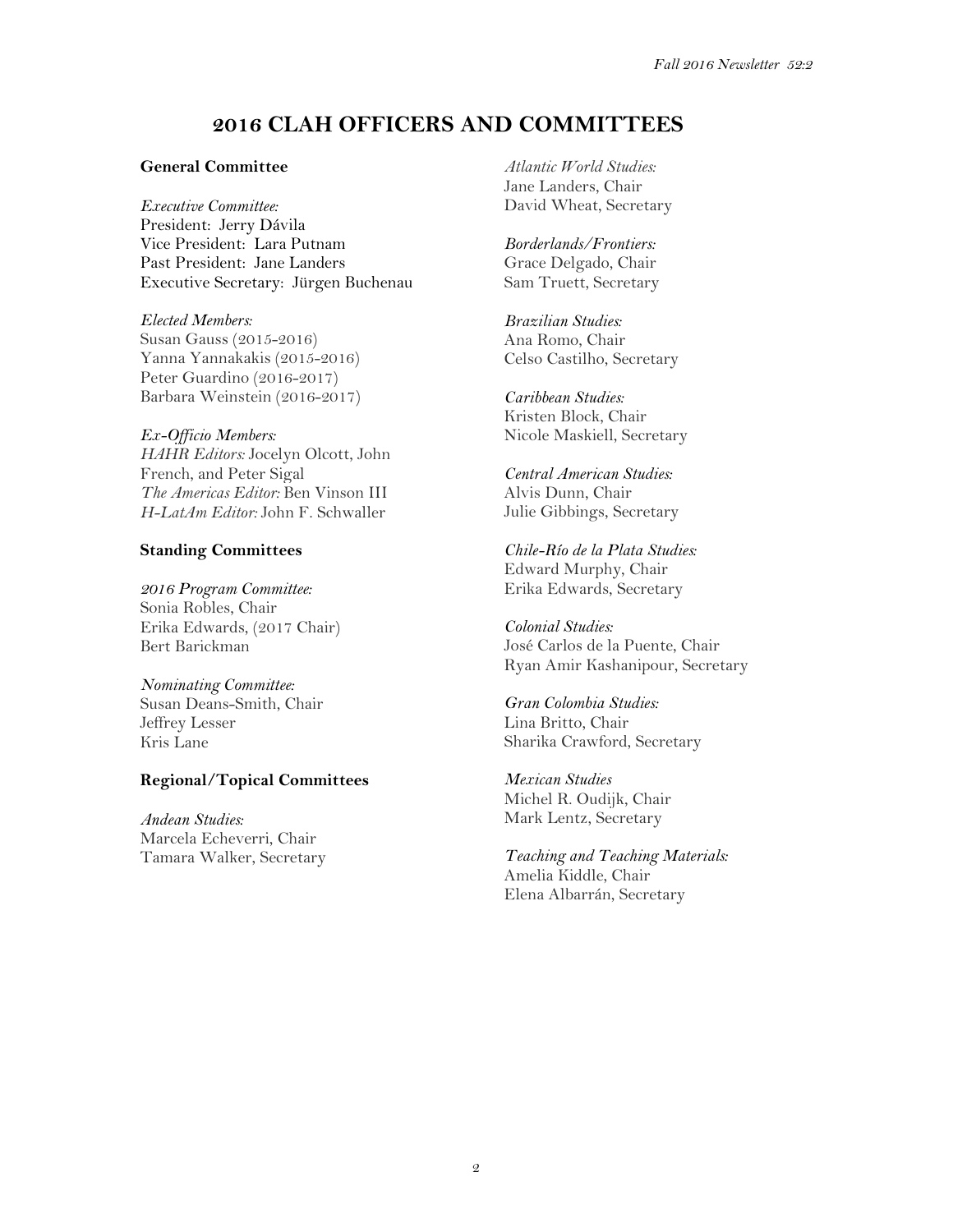# **2016 CLAH OFFICERS AND COMMITTEES**

#### **General Committee**

*Executive Committee:* President: Jerry Dávila Vice President: Lara Putnam Past President: Jane Landers Executive Secretary: Jürgen Buchenau

*Elected Members:* Susan Gauss (2015-2016) Yanna Yannakakis (2015-2016) Peter Guardino (2016-2017) Barbara Weinstein (2016-2017)

#### *Ex-Officio Members:*

*HAHR Editors:* Jocelyn Olcott, John French, and Peter Sigal *The Americas Editor:* Ben Vinson III *H-LatAm Editor:* John F. Schwaller

#### **Standing Committees**

*2016 Program Committee:* Sonia Robles, Chair Erika Edwards, (2017 Chair) Bert Barickman

#### *Nominating Committee:*

Susan Deans-Smith, Chair Jeffrey Lesser Kris Lane

## **Regional/Topical Committees**

*Andean Studies:* Marcela Echeverri, Chair Tamara Walker, Secretary *Atlantic World Studies:* Jane Landers, Chair David Wheat, Secretary

*Borderlands/Frontiers:* Grace Delgado, Chair Sam Truett, Secretary

*Brazilian Studies:* Ana Romo, Chair Celso Castilho, Secretary

*Caribbean Studies:* Kristen Block, Chair Nicole Maskiell, Secretary

*Central American Studies:* Alvis Dunn, Chair Julie Gibbings, Secretary

*Chile-Río de la Plata Studies:* Edward Murphy, Chair Erika Edwards, Secretary

*Colonial Studies:* José Carlos de la Puente, Chair Ryan Amir Kashanipour, Secretary

*Gran Colombia Studies:* Lina Britto, Chair Sharika Crawford, Secretary

*Mexican Studies* Michel R. Oudijk, Chair Mark Lentz, Secretary

*Teaching and Teaching Materials:* Amelia Kiddle, Chair Elena Albarrán, Secretary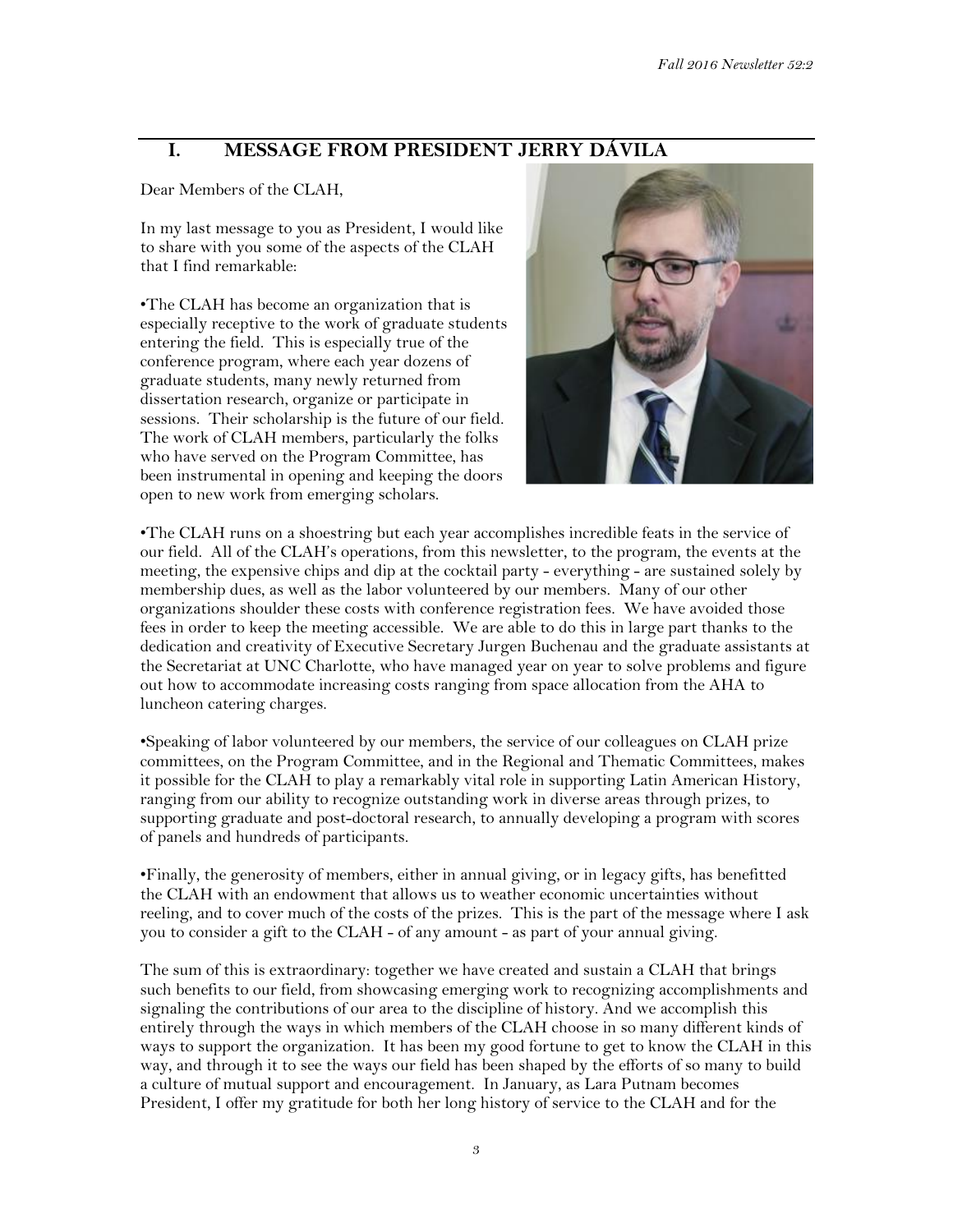# **I. MESSAGE FROM PRESIDENT JERRY DÁVILA**

Dear Members of the CLAH,

In my last message to you as President, I would like to share with you some of the aspects of the CLAH that I find remarkable:

•The CLAH has become an organization that is especially receptive to the work of graduate students entering the field. This is especially true of the conference program, where each year dozens of graduate students, many newly returned from dissertation research, organize or participate in sessions. Their scholarship is the future of our field. The work of CLAH members, particularly the folks who have served on the Program Committee, has been instrumental in opening and keeping the doors open to new work from emerging scholars.



•The CLAH runs on a shoestring but each year accomplishes incredible feats in the service of our field. All of the CLAH's operations, from this newsletter, to the program, the events at the meeting, the expensive chips and dip at the cocktail party - everything - are sustained solely by membership dues, as well as the labor volunteered by our members. Many of our other organizations shoulder these costs with conference registration fees. We have avoided those fees in order to keep the meeting accessible. We are able to do this in large part thanks to the dedication and creativity of Executive Secretary Jurgen Buchenau and the graduate assistants at the Secretariat at UNC Charlotte, who have managed year on year to solve problems and figure out how to accommodate increasing costs ranging from space allocation from the AHA to luncheon catering charges.

•Speaking of labor volunteered by our members, the service of our colleagues on CLAH prize committees, on the Program Committee, and in the Regional and Thematic Committees, makes it possible for the CLAH to play a remarkably vital role in supporting Latin American History, ranging from our ability to recognize outstanding work in diverse areas through prizes, to supporting graduate and post-doctoral research, to annually developing a program with scores of panels and hundreds of participants.

•Finally, the generosity of members, either in annual giving, or in legacy gifts, has benefitted the CLAH with an endowment that allows us to weather economic uncertainties without reeling, and to cover much of the costs of the prizes. This is the part of the message where I ask you to consider a gift to the CLAH - of any amount - as part of your annual giving.

The sum of this is extraordinary: together we have created and sustain a CLAH that brings such benefits to our field, from showcasing emerging work to recognizing accomplishments and signaling the contributions of our area to the discipline of history. And we accomplish this entirely through the ways in which members of the CLAH choose in so many different kinds of ways to support the organization. It has been my good fortune to get to know the CLAH in this way, and through it to see the ways our field has been shaped by the efforts of so many to build a culture of mutual support and encouragement. In January, as Lara Putnam becomes President, I offer my gratitude for both her long history of service to the CLAH and for the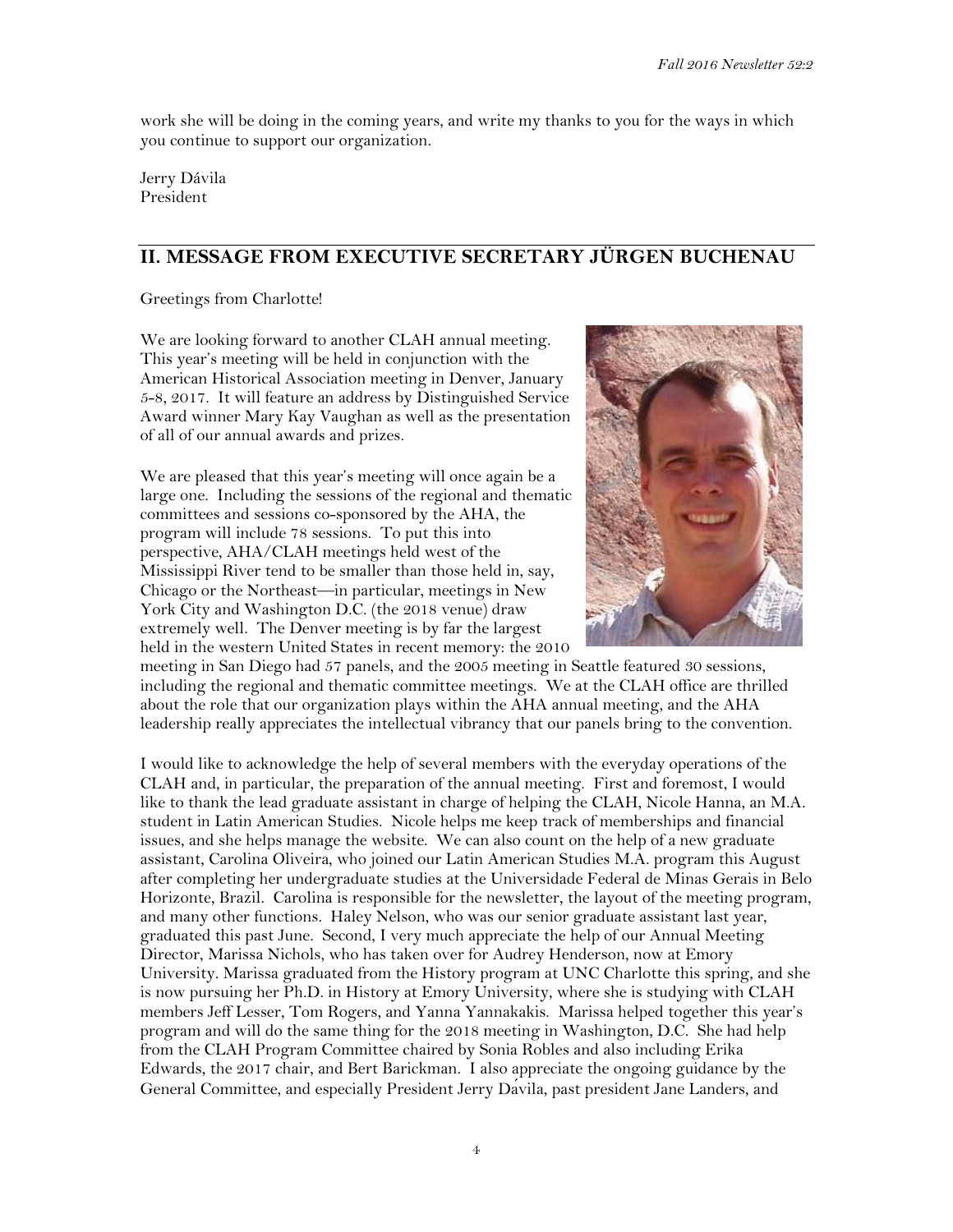work she will be doing in the coming years, and write my thanks to you for the ways in which you continue to support our organization.

Jerry Dávila President

# **II. MESSAGE FROM EXECUTIVE SECRETARY JÜRGEN BUCHENAU**

Greetings from Charlotte!

We are looking forward to another CLAH annual meeting. This year's meeting will be held in conjunction with the American Historical Association meeting in Denver, January 5-8, 2017. It will feature an address by Distinguished Service Award winner Mary Kay Vaughan as well as the presentation of all of our annual awards and prizes.

We are pleased that this year's meeting will once again be a large one. Including the sessions of the regional and thematic committees and sessions co-sponsored by the AHA, the program will include 78 sessions. To put this into perspective, AHA/CLAH meetings held west of the Mississippi River tend to be smaller than those held in, say, Chicago or the Northeast—in particular, meetings in New York City and Washington D.C. (the 2018 venue) draw extremely well. The Denver meeting is by far the largest held in the western United States in recent memory: the 2010



meeting in San Diego had 57 panels, and the 2005 meeting in Seattle featured 30 sessions, including the regional and thematic committee meetings. We at the CLAH office are thrilled about the role that our organization plays within the AHA annual meeting, and the AHA leadership really appreciates the intellectual vibrancy that our panels bring to the convention.

I would like to acknowledge the help of several members with the everyday operations of the CLAH and, in particular, the preparation of the annual meeting. First and foremost, I would like to thank the lead graduate assistant in charge of helping the CLAH, Nicole Hanna, an M.A. student in Latin American Studies. Nicole helps me keep track of memberships and financial issues, and she helps manage the website. We can also count on the help of a new graduate assistant, Carolina Oliveira, who joined our Latin American Studies M.A. program this August after completing her undergraduate studies at the Universidade Federal de Minas Gerais in Belo Horizonte, Brazil. Carolina is responsible for the newsletter, the layout of the meeting program, and many other functions. Haley Nelson, who was our senior graduate assistant last year, graduated this past June. Second, I very much appreciate the help of our Annual Meeting Director, Marissa Nichols, who has taken over for Audrey Henderson, now at Emory University. Marissa graduated from the History program at UNC Charlotte this spring, and she is now pursuing her Ph.D. in History at Emory University, where she is studying with CLAH members Jeff Lesser, Tom Rogers, and Yanna Yannakakis. Marissa helped together this year's program and will do the same thing for the 2018 meeting in Washington, D.C. She had help from the CLAH Program Committee chaired by Sonia Robles and also including Erika Edwards, the 2017 chair, and Bert Barickman. I also appreciate the ongoing guidance by the General Committee, and especially President Jerry Davila, past president Jane Landers, and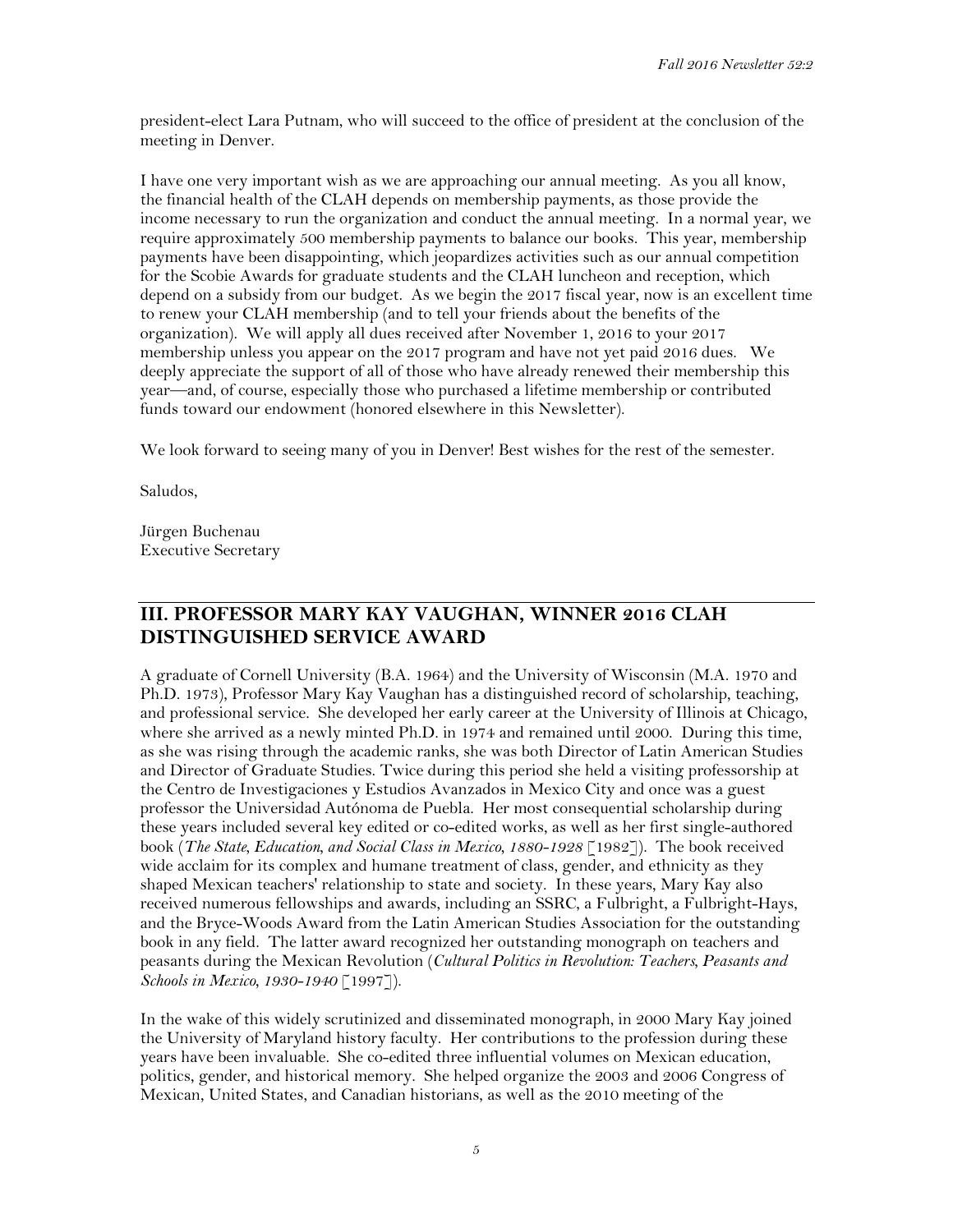president-elect Lara Putnam, who will succeed to the office of president at the conclusion of the meeting in Denver.

I have one very important wish as we are approaching our annual meeting. As you all know, the financial health of the CLAH depends on membership payments, as those provide the income necessary to run the organization and conduct the annual meeting. In a normal year, we require approximately 500 membership payments to balance our books. This year, membership payments have been disappointing, which jeopardizes activities such as our annual competition for the Scobie Awards for graduate students and the CLAH luncheon and reception, which depend on a subsidy from our budget. As we begin the 2017 fiscal year, now is an excellent time to renew your CLAH membership (and to tell your friends about the benefits of the organization). We will apply all dues received after November 1, 2016 to your 2017 membership unless you appear on the 2017 program and have not yet paid 2016 dues. We deeply appreciate the support of all of those who have already renewed their membership this year—and, of course, especially those who purchased a lifetime membership or contributed funds toward our endowment (honored elsewhere in this Newsletter).

We look forward to seeing many of you in Denver! Best wishes for the rest of the semester.

Saludos,

Jürgen Buchenau Executive Secretary

## **III. PROFESSOR MARY KAY VAUGHAN, WINNER 2016 CLAH DISTINGUISHED SERVICE AWARD**

A graduate of Cornell University (B.A. 1964) and the University of Wisconsin (M.A. 1970 and Ph.D. 1973), Professor Mary Kay Vaughan has a distinguished record of scholarship, teaching, and professional service. She developed her early career at the University of Illinois at Chicago, where she arrived as a newly minted Ph.D. in 1974 and remained until 2000. During this time, as she was rising through the academic ranks, she was both Director of Latin American Studies and Director of Graduate Studies. Twice during this period she held a visiting professorship at the Centro de Investigaciones y Estudios Avanzados in Mexico City and once was a guest professor the Universidad Autónoma de Puebla. Her most consequential scholarship during these years included several key edited or co-edited works, as well as her first single-authored book (*The State, Education, and Social Class in Mexico, 1880-1928* [1982]). The book received wide acclaim for its complex and humane treatment of class, gender, and ethnicity as they shaped Mexican teachers' relationship to state and society. In these years, Mary Kay also received numerous fellowships and awards, including an SSRC, a Fulbright, a Fulbright-Hays, and the Bryce-Woods Award from the Latin American Studies Association for the outstanding book in any field. The latter award recognized her outstanding monograph on teachers and peasants during the Mexican Revolution (*Cultural Politics in Revolution: Teachers, Peasants and Schools in Mexico, 1930-1940* [1997]).

In the wake of this widely scrutinized and disseminated monograph, in 2000 Mary Kay joined the University of Maryland history faculty. Her contributions to the profession during these years have been invaluable. She co-edited three influential volumes on Mexican education, politics, gender, and historical memory. She helped organize the 2003 and 2006 Congress of Mexican, United States, and Canadian historians, as well as the 2010 meeting of the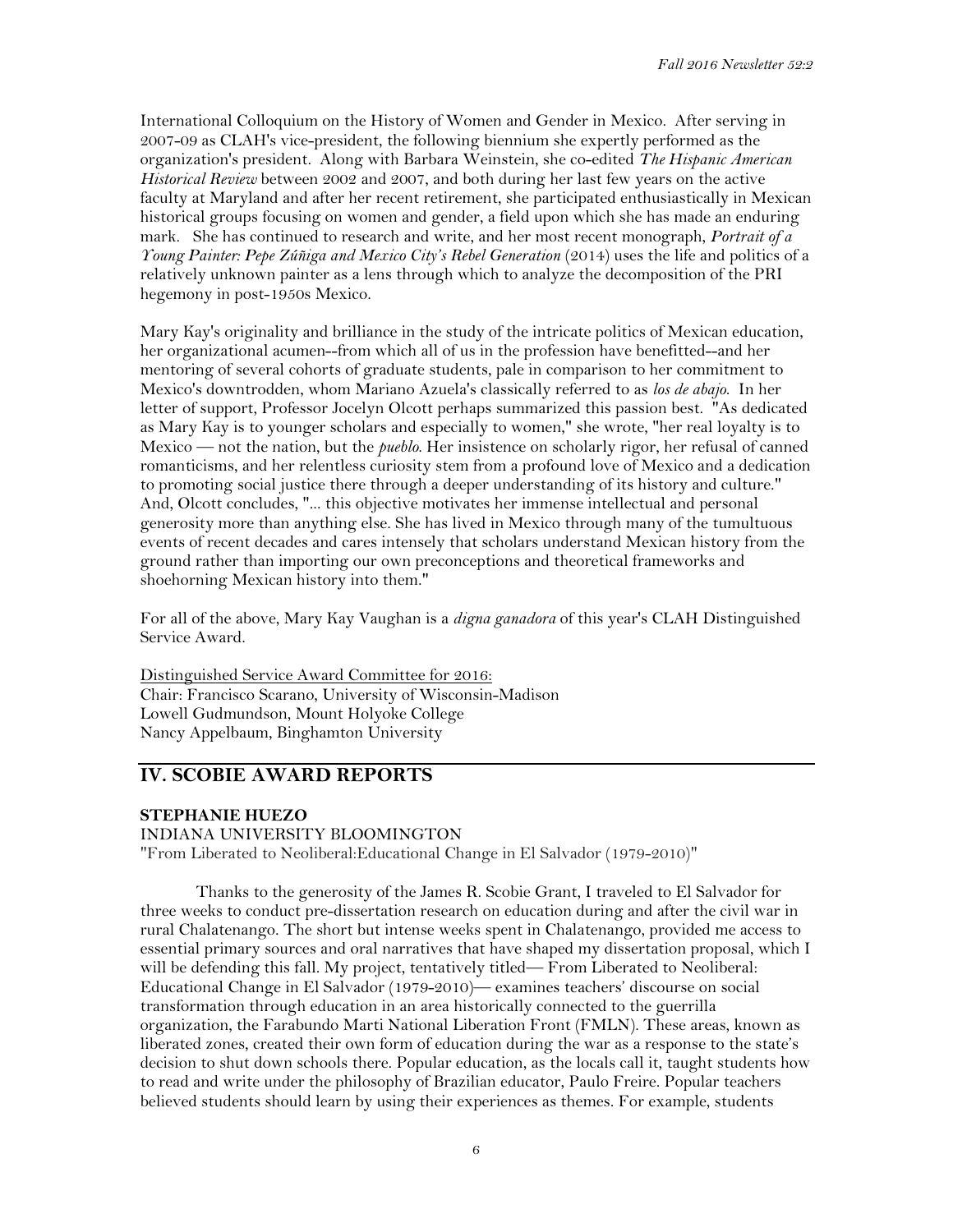International Colloquium on the History of Women and Gender in Mexico. After serving in 2007-09 as CLAH's vice-president, the following biennium she expertly performed as the organization's president. Along with Barbara Weinstein, she co-edited *The Hispanic American Historical Review* between 2002 and 2007, and both during her last few years on the active faculty at Maryland and after her recent retirement, she participated enthusiastically in Mexican historical groups focusing on women and gender, a field upon which she has made an enduring mark. She has continued to research and write, and her most recent monograph, *Portrait of a Young Painter: Pepe Zúñiga and Mexico City's Rebel Generation* (2014) uses the life and politics of a relatively unknown painter as a lens through which to analyze the decomposition of the PRI hegemony in post-1950s Mexico.

Mary Kay's originality and brilliance in the study of the intricate politics of Mexican education, her organizational acumen--from which all of us in the profession have benefitted--and her mentoring of several cohorts of graduate students, pale in comparison to her commitment to Mexico's downtrodden, whom Mariano Azuela's classically referred to as *los de abajo*. In her letter of support, Professor Jocelyn Olcott perhaps summarized this passion best. "As dedicated as Mary Kay is to younger scholars and especially to women," she wrote, "her real loyalty is to Mexico — not the nation, but the *pueblo*. Her insistence on scholarly rigor, her refusal of canned romanticisms, and her relentless curiosity stem from a profound love of Mexico and a dedication to promoting social justice there through a deeper understanding of its history and culture." And, Olcott concludes, "... this objective motivates her immense intellectual and personal generosity more than anything else. She has lived in Mexico through many of the tumultuous events of recent decades and cares intensely that scholars understand Mexican history from the ground rather than importing our own preconceptions and theoretical frameworks and shoehorning Mexican history into them."

For all of the above, Mary Kay Vaughan is a *digna ganadora* of this year's CLAH Distinguished Service Award.

Distinguished Service Award Committee for 2016: Chair: Francisco Scarano, University of Wisconsin-Madison Lowell Gudmundson, Mount Holyoke College Nancy Appelbaum, Binghamton University

## **IV. SCOBIE AWARD REPORTS**

## **STEPHANIE HUEZO**

INDIANA UNIVERSITY BLOOMINGTON "From Liberated to Neoliberal:Educational Change in El Salvador (1979-2010)"

Thanks to the generosity of the James R. Scobie Grant, I traveled to El Salvador for three weeks to conduct pre-dissertation research on education during and after the civil war in rural Chalatenango. The short but intense weeks spent in Chalatenango, provided me access to essential primary sources and oral narratives that have shaped my dissertation proposal, which I will be defending this fall. My project, tentatively titled— From Liberated to Neoliberal: Educational Change in El Salvador (1979-2010)— examines teachers' discourse on social transformation through education in an area historically connected to the guerrilla organization, the Farabundo Marti National Liberation Front (FMLN). These areas, known as liberated zones, created their own form of education during the war as a response to the state's decision to shut down schools there. Popular education, as the locals call it, taught students how to read and write under the philosophy of Brazilian educator, Paulo Freire. Popular teachers believed students should learn by using their experiences as themes. For example, students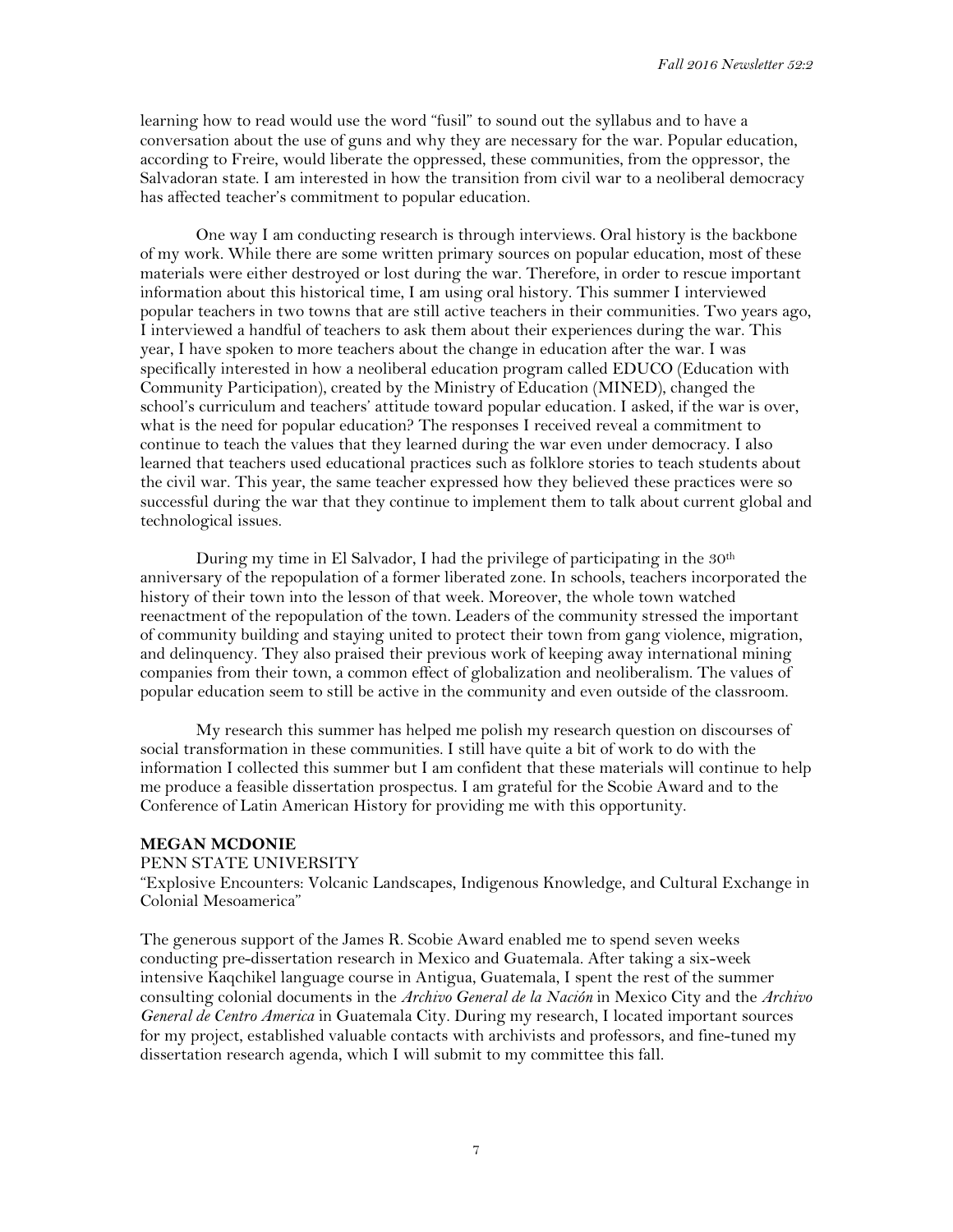learning how to read would use the word "fusil" to sound out the syllabus and to have a conversation about the use of guns and why they are necessary for the war. Popular education, according to Freire, would liberate the oppressed, these communities, from the oppressor, the Salvadoran state. I am interested in how the transition from civil war to a neoliberal democracy has affected teacher's commitment to popular education.

One way I am conducting research is through interviews. Oral history is the backbone of my work. While there are some written primary sources on popular education, most of these materials were either destroyed or lost during the war. Therefore, in order to rescue important information about this historical time, I am using oral history. This summer I interviewed popular teachers in two towns that are still active teachers in their communities. Two years ago, I interviewed a handful of teachers to ask them about their experiences during the war. This year, I have spoken to more teachers about the change in education after the war. I was specifically interested in how a neoliberal education program called EDUCO (Education with Community Participation), created by the Ministry of Education (MINED), changed the school's curriculum and teachers' attitude toward popular education. I asked, if the war is over, what is the need for popular education? The responses I received reveal a commitment to continue to teach the values that they learned during the war even under democracy. I also learned that teachers used educational practices such as folklore stories to teach students about the civil war. This year, the same teacher expressed how they believed these practices were so successful during the war that they continue to implement them to talk about current global and technological issues.

During my time in El Salvador, I had the privilege of participating in the 30<sup>th</sup> anniversary of the repopulation of a former liberated zone. In schools, teachers incorporated the history of their town into the lesson of that week. Moreover, the whole town watched reenactment of the repopulation of the town. Leaders of the community stressed the important of community building and staying united to protect their town from gang violence, migration, and delinquency. They also praised their previous work of keeping away international mining companies from their town, a common effect of globalization and neoliberalism. The values of popular education seem to still be active in the community and even outside of the classroom.

My research this summer has helped me polish my research question on discourses of social transformation in these communities. I still have quite a bit of work to do with the information I collected this summer but I am confident that these materials will continue to help me produce a feasible dissertation prospectus. I am grateful for the Scobie Award and to the Conference of Latin American History for providing me with this opportunity.

## **MEGAN MCDONIE**

#### PENN STATE UNIVERSITY

"Explosive Encounters: Volcanic Landscapes, Indigenous Knowledge, and Cultural Exchange in Colonial Mesoamerica"

The generous support of the James R. Scobie Award enabled me to spend seven weeks conducting pre-dissertation research in Mexico and Guatemala. After taking a six-week intensive Kaqchikel language course in Antigua, Guatemala, I spent the rest of the summer consulting colonial documents in the *Archivo General de la Nación* in Mexico City and the *Archivo General de Centro America* in Guatemala City. During my research, I located important sources for my project, established valuable contacts with archivists and professors, and fine-tuned my dissertation research agenda, which I will submit to my committee this fall.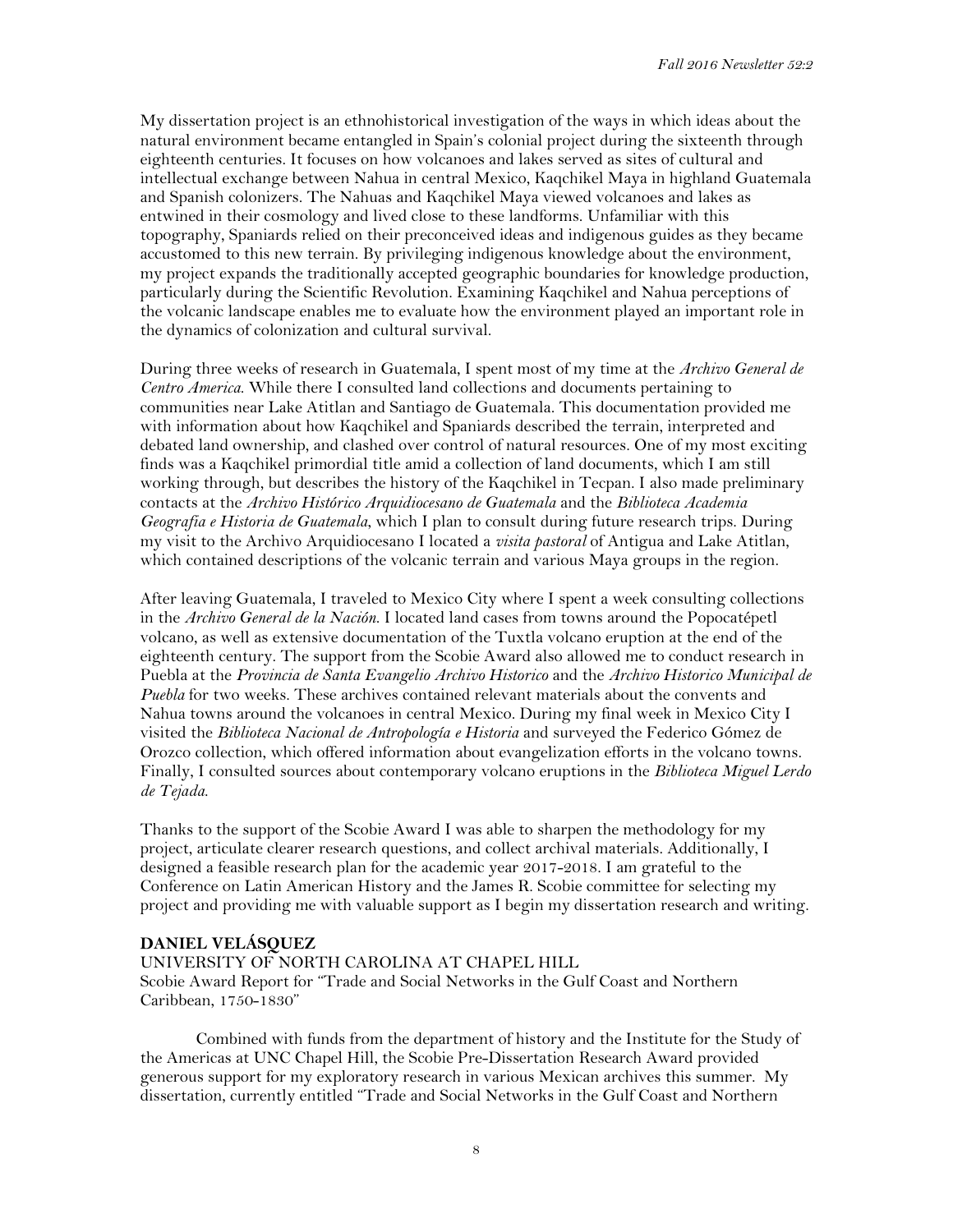My dissertation project is an ethnohistorical investigation of the ways in which ideas about the natural environment became entangled in Spain's colonial project during the sixteenth through eighteenth centuries. It focuses on how volcanoes and lakes served as sites of cultural and intellectual exchange between Nahua in central Mexico, Kaqchikel Maya in highland Guatemala and Spanish colonizers. The Nahuas and Kaqchikel Maya viewed volcanoes and lakes as entwined in their cosmology and lived close to these landforms. Unfamiliar with this topography, Spaniards relied on their preconceived ideas and indigenous guides as they became accustomed to this new terrain. By privileging indigenous knowledge about the environment, my project expands the traditionally accepted geographic boundaries for knowledge production, particularly during the Scientific Revolution. Examining Kaqchikel and Nahua perceptions of the volcanic landscape enables me to evaluate how the environment played an important role in the dynamics of colonization and cultural survival.

During three weeks of research in Guatemala, I spent most of my time at the *Archivo General de Centro America*. While there I consulted land collections and documents pertaining to communities near Lake Atitlan and Santiago de Guatemala. This documentation provided me with information about how Kaqchikel and Spaniards described the terrain, interpreted and debated land ownership, and clashed over control of natural resources. One of my most exciting finds was a Kaqchikel primordial title amid a collection of land documents, which I am still working through, but describes the history of the Kaqchikel in Tecpan. I also made preliminary contacts at the *Archivo Histórico Arquidiocesano de Guatemala* and the *Biblioteca Academia Geografia e Historia de Guatemala*, which I plan to consult during future research trips. During my visit to the Archivo Arquidiocesano I located a *visita pastoral* of Antigua and Lake Atitlan, which contained descriptions of the volcanic terrain and various Maya groups in the region.

After leaving Guatemala, I traveled to Mexico City where I spent a week consulting collections in the *Archivo General de la Nación*. I located land cases from towns around the Popocatépetl volcano, as well as extensive documentation of the Tuxtla volcano eruption at the end of the eighteenth century. The support from the Scobie Award also allowed me to conduct research in Puebla at the *Provincia de Santa Evangelio Archivo Historico* and the *Archivo Historico Municipal de Puebla* for two weeks. These archives contained relevant materials about the convents and Nahua towns around the volcanoes in central Mexico. During my final week in Mexico City I visited the *Biblioteca Nacional de Antropología e Historia* and surveyed the Federico Gómez de Orozco collection, which offered information about evangelization efforts in the volcano towns. Finally, I consulted sources about contemporary volcano eruptions in the *Biblioteca Miguel Lerdo de Tejada*.

Thanks to the support of the Scobie Award I was able to sharpen the methodology for my project, articulate clearer research questions, and collect archival materials. Additionally, I designed a feasible research plan for the academic year 2017-2018. I am grateful to the Conference on Latin American History and the James R. Scobie committee for selecting my project and providing me with valuable support as I begin my dissertation research and writing.

## **DANIEL VELÁSQUEZ**

UNIVERSITY OF NORTH CAROLINA AT CHAPEL HILL Scobie Award Report for "Trade and Social Networks in the Gulf Coast and Northern Caribbean, 1750-1830"

Combined with funds from the department of history and the Institute for the Study of the Americas at UNC Chapel Hill, the Scobie Pre-Dissertation Research Award provided generous support for my exploratory research in various Mexican archives this summer. My dissertation, currently entitled "Trade and Social Networks in the Gulf Coast and Northern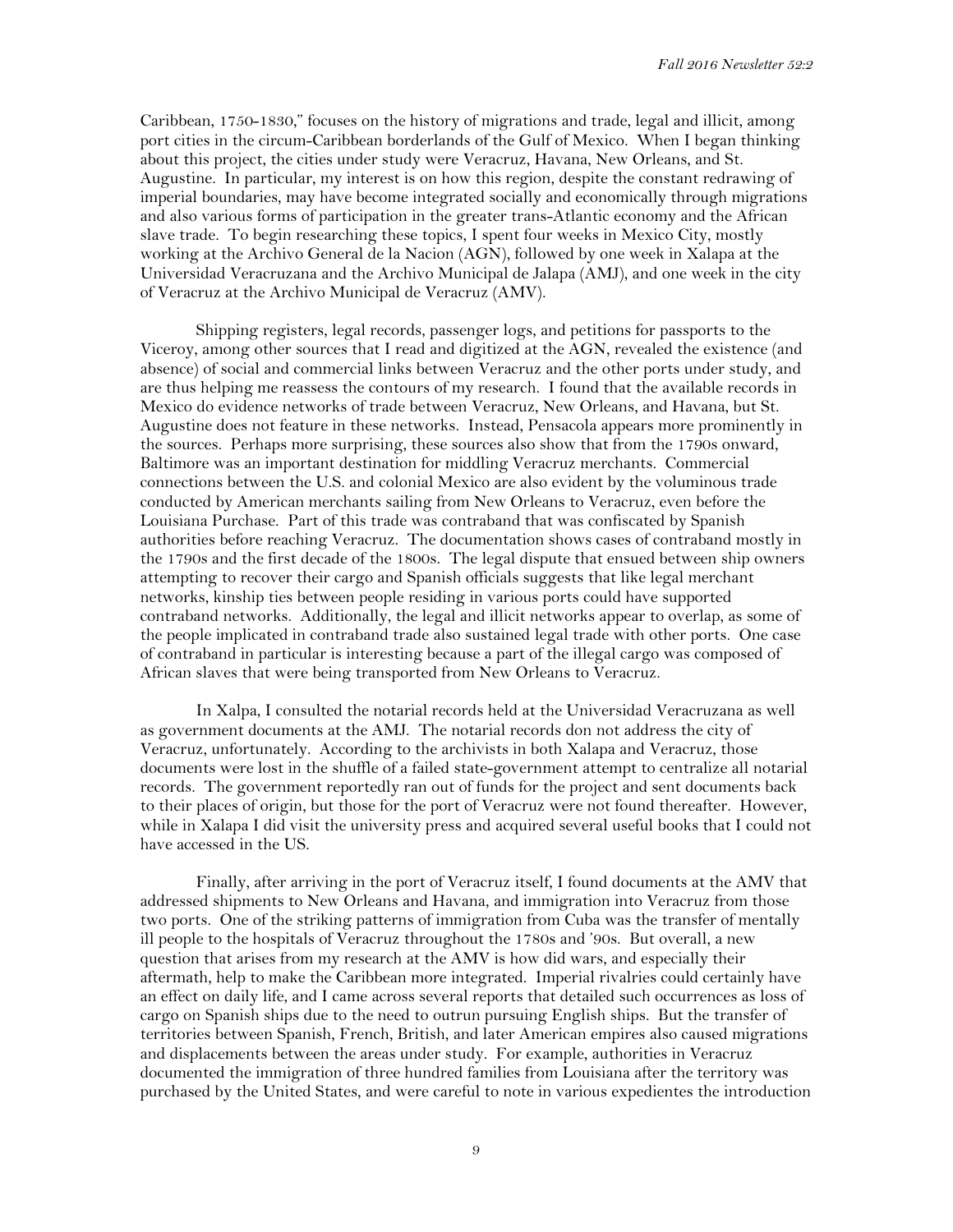Caribbean, 1750-1830," focuses on the history of migrations and trade, legal and illicit, among port cities in the circum-Caribbean borderlands of the Gulf of Mexico. When I began thinking about this project, the cities under study were Veracruz, Havana, New Orleans, and St. Augustine. In particular, my interest is on how this region, despite the constant redrawing of imperial boundaries, may have become integrated socially and economically through migrations and also various forms of participation in the greater trans-Atlantic economy and the African slave trade. To begin researching these topics, I spent four weeks in Mexico City, mostly working at the Archivo General de la Nacion (AGN), followed by one week in Xalapa at the Universidad Veracruzana and the Archivo Municipal de Jalapa (AMJ), and one week in the city of Veracruz at the Archivo Municipal de Veracruz (AMV).

Shipping registers, legal records, passenger logs, and petitions for passports to the Viceroy, among other sources that I read and digitized at the AGN, revealed the existence (and absence) of social and commercial links between Veracruz and the other ports under study, and are thus helping me reassess the contours of my research. I found that the available records in Mexico do evidence networks of trade between Veracruz, New Orleans, and Havana, but St. Augustine does not feature in these networks. Instead, Pensacola appears more prominently in the sources. Perhaps more surprising, these sources also show that from the 1790s onward, Baltimore was an important destination for middling Veracruz merchants. Commercial connections between the U.S. and colonial Mexico are also evident by the voluminous trade conducted by American merchants sailing from New Orleans to Veracruz, even before the Louisiana Purchase. Part of this trade was contraband that was confiscated by Spanish authorities before reaching Veracruz. The documentation shows cases of contraband mostly in the 1790s and the first decade of the 1800s. The legal dispute that ensued between ship owners attempting to recover their cargo and Spanish officials suggests that like legal merchant networks, kinship ties between people residing in various ports could have supported contraband networks. Additionally, the legal and illicit networks appear to overlap, as some of the people implicated in contraband trade also sustained legal trade with other ports. One case of contraband in particular is interesting because a part of the illegal cargo was composed of African slaves that were being transported from New Orleans to Veracruz.

In Xalpa, I consulted the notarial records held at the Universidad Veracruzana as well as government documents at the AMJ. The notarial records don not address the city of Veracruz, unfortunately. According to the archivists in both Xalapa and Veracruz, those documents were lost in the shuffle of a failed state-government attempt to centralize all notarial records. The government reportedly ran out of funds for the project and sent documents back to their places of origin, but those for the port of Veracruz were not found thereafter. However, while in Xalapa I did visit the university press and acquired several useful books that I could not have accessed in the US.

Finally, after arriving in the port of Veracruz itself, I found documents at the AMV that addressed shipments to New Orleans and Havana, and immigration into Veracruz from those two ports. One of the striking patterns of immigration from Cuba was the transfer of mentally ill people to the hospitals of Veracruz throughout the 1780s and '90s. But overall, a new question that arises from my research at the AMV is how did wars, and especially their aftermath, help to make the Caribbean more integrated. Imperial rivalries could certainly have an effect on daily life, and I came across several reports that detailed such occurrences as loss of cargo on Spanish ships due to the need to outrun pursuing English ships. But the transfer of territories between Spanish, French, British, and later American empires also caused migrations and displacements between the areas under study. For example, authorities in Veracruz documented the immigration of three hundred families from Louisiana after the territory was purchased by the United States, and were careful to note in various expedientes the introduction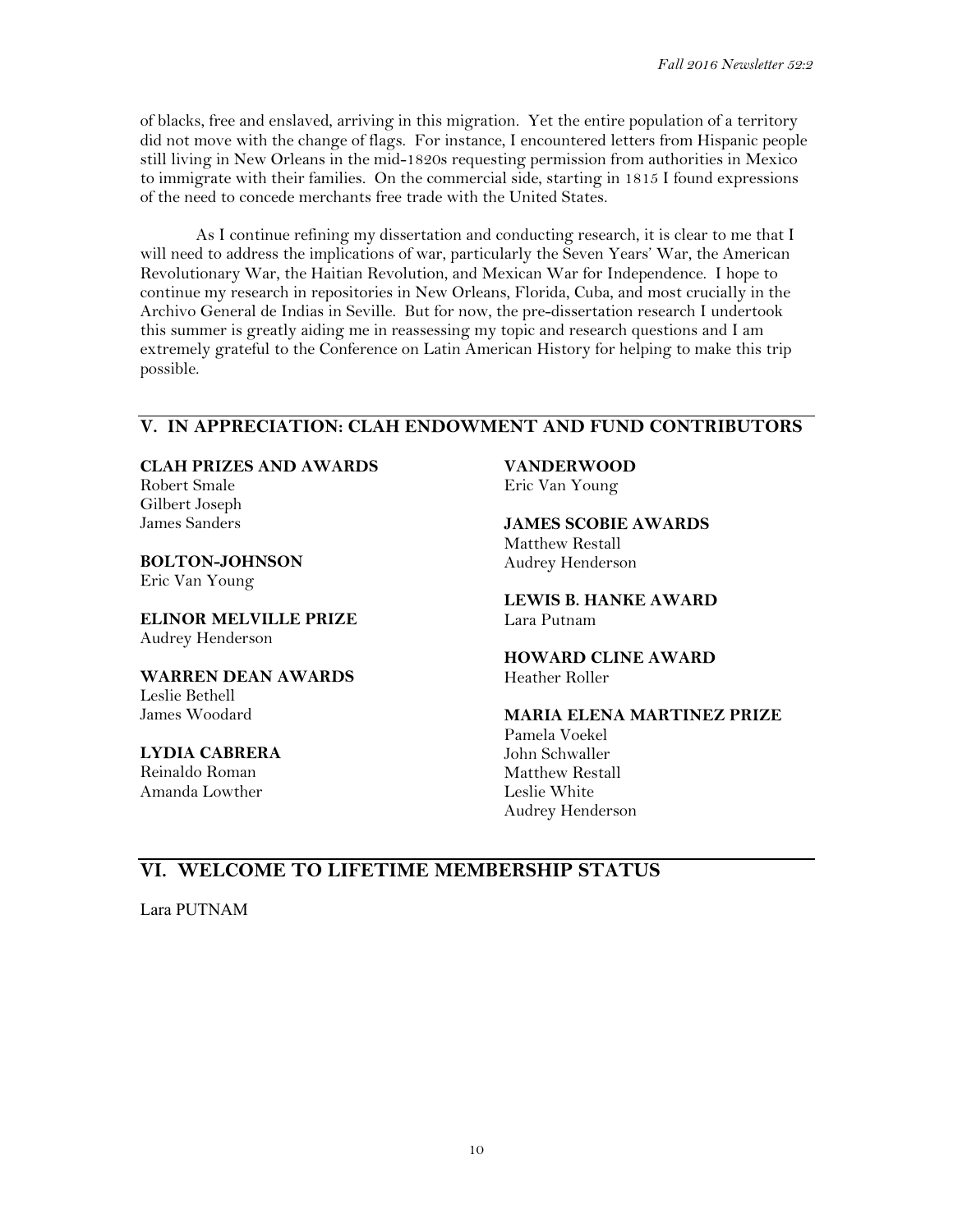of blacks, free and enslaved, arriving in this migration. Yet the entire population of a territory did not move with the change of flags. For instance, I encountered letters from Hispanic people still living in New Orleans in the mid-1820s requesting permission from authorities in Mexico to immigrate with their families. On the commercial side, starting in 1815 I found expressions of the need to concede merchants free trade with the United States.

As I continue refining my dissertation and conducting research, it is clear to me that I will need to address the implications of war, particularly the Seven Years' War, the American Revolutionary War, the Haitian Revolution, and Mexican War for Independence. I hope to continue my research in repositories in New Orleans, Florida, Cuba, and most crucially in the Archivo General de Indias in Seville. But for now, the pre-dissertation research I undertook this summer is greatly aiding me in reassessing my topic and research questions and I am extremely grateful to the Conference on Latin American History for helping to make this trip possible.

## **V. IN APPRECIATION: CLAH ENDOWMENT AND FUND CONTRIBUTORS**

**CLAH PRIZES AND AWARDS** 

Robert Smale Gilbert Joseph James Sanders

**BOLTON-JOHNSON** Eric Van Young

**ELINOR MELVILLE PRIZE**  Audrey Henderson

**WARREN DEAN AWARDS**  Leslie Bethell James Woodard

**LYDIA CABRERA**  Reinaldo Roman Amanda Lowther

**VANDERWOOD**

Eric Van Young

**JAMES SCOBIE AWARDS**  Matthew Restall Audrey Henderson

**LEWIS B. HANKE AWARD**  Lara Putnam

**HOWARD CLINE AWARD** Heather Roller

**MARIA ELENA MARTINEZ PRIZE**  Pamela Voekel John Schwaller Matthew Restall Leslie White Audrey Henderson

# **VI. WELCOME TO LIFETIME MEMBERSHIP STATUS**

Lara PUTNAM